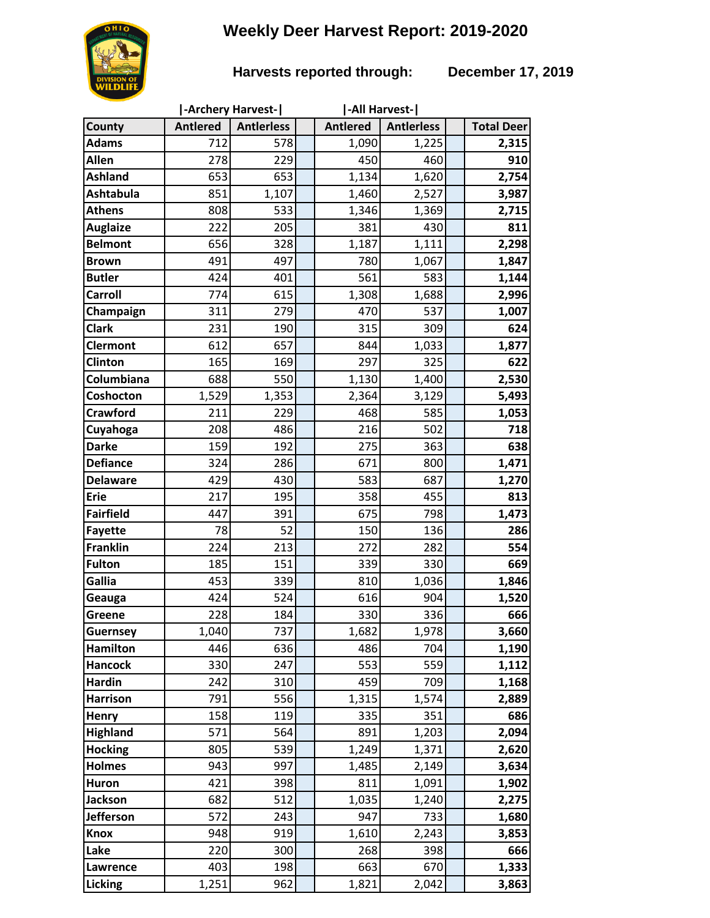# **Weekly Deer Harvest Report: 2019-2020**

## **Harvests reported through: December 17, 2019**

|                  |                 | -Archery Harvest- | -All Harvest-   |                   |                   |
|------------------|-----------------|-------------------|-----------------|-------------------|-------------------|
| County           | <b>Antlered</b> | <b>Antierless</b> | <b>Antlered</b> | <b>Antlerless</b> | <b>Total Deer</b> |
| <b>Adams</b>     | 712             | 578               | 1,090           | 1,225             | 2,315             |
| Allen            | 278             | 229               | 450             | 460               | 910               |
| <b>Ashland</b>   | 653             | 653               | 1,134           | 1,620             | 2,754             |
| <b>Ashtabula</b> | 851             | 1,107             | 1,460           | 2,527             | 3,987             |
| <b>Athens</b>    | 808             | 533               | 1,346           | 1,369             | 2,715             |
| <b>Auglaize</b>  | 222             | 205               | 381             | 430               | 811               |
| <b>Belmont</b>   | 656             | 328               | 1,187           | 1,111             | 2,298             |
| <b>Brown</b>     | 491             | 497               | 780             | 1,067             | 1,847             |
| <b>Butler</b>    | 424             | 401               | 561             | 583               | 1,144             |
| Carroll          | 774             | 615               | 1,308           | 1,688             | 2,996             |
| Champaign        | 311             | 279               | 470             | 537               | 1,007             |
| <b>Clark</b>     | 231             | 190               | 315             | 309               | 624               |
| <b>Clermont</b>  | 612             | 657               | 844             | 1,033             | 1,877             |
| Clinton          | 165             | 169               | 297             | 325               | 622               |
| Columbiana       | 688             | 550               | 1,130           | 1,400             | 2,530             |
| Coshocton        | 1,529           | 1,353             | 2,364           | 3,129             | 5,493             |
| <b>Crawford</b>  | 211             | 229               | 468             | 585               | 1,053             |
| Cuyahoga         | 208             | 486               | 216             | 502               | 718               |
| <b>Darke</b>     | 159             | 192               | 275             | 363               | 638               |
| <b>Defiance</b>  | 324             | 286               | 671             | 800               | 1,471             |
| <b>Delaware</b>  | 429             | 430               | 583             | 687               | 1,270             |
| <b>Erie</b>      | 217             | 195               | 358             | 455               | 813               |
| <b>Fairfield</b> | 447             | 391               | 675             | 798               | 1,473             |
| <b>Fayette</b>   | 78              | 52                | 150             | 136               | 286               |
| <b>Franklin</b>  | 224             | 213               | 272             | 282               | 554               |
| <b>Fulton</b>    | 185             | 151               | 339             | 330               | 669               |
| Gallia           | 453             | 339               | 810             | 1,036             | 1,846             |
| Geauga           | 424             | 524               | 616             | 904               | 1,520             |
| <b>Greene</b>    | 228             | 184               | 330             | 336               | 666               |
| <b>Guernsey</b>  | 1,040           | 737               | 1,682           | 1,978             | 3,660             |
| <b>Hamilton</b>  | 446             | 636               | 486             | 704               | 1,190             |
| <b>Hancock</b>   | 330             | 247               | 553             | 559               | 1,112             |
| <b>Hardin</b>    | 242             | 310               | 459             | 709               | 1,168             |
| <b>Harrison</b>  | 791             | 556               | 1,315           | 1,574             | 2,889             |
| Henry            | 158             | 119               | 335             | 351               | 686               |
| <b>Highland</b>  | 571             | 564               | 891             | 1,203             | 2,094             |
| <b>Hocking</b>   | 805             | 539               | 1,249           | 1,371             | 2,620             |
| <b>Holmes</b>    | 943             | 997               | 1,485           | 2,149             | 3,634             |
| Huron            | 421             | 398               | 811             | 1,091             | 1,902             |
| <b>Jackson</b>   | 682             | 512               | 1,035           | 1,240             | 2,275             |
| <b>Jefferson</b> | 572             | 243               | 947             | 733               | 1,680             |
| <b>Knox</b>      | 948             | 919               | 1,610           | 2,243             | 3,853             |
| Lake             | 220             | 300               | 268             | 398               | 666               |
| Lawrence         | 403             | 198               | 663             | 670               | 1,333             |
| Licking          | 1,251           | 962               | 1,821           | 2,042             | 3,863             |